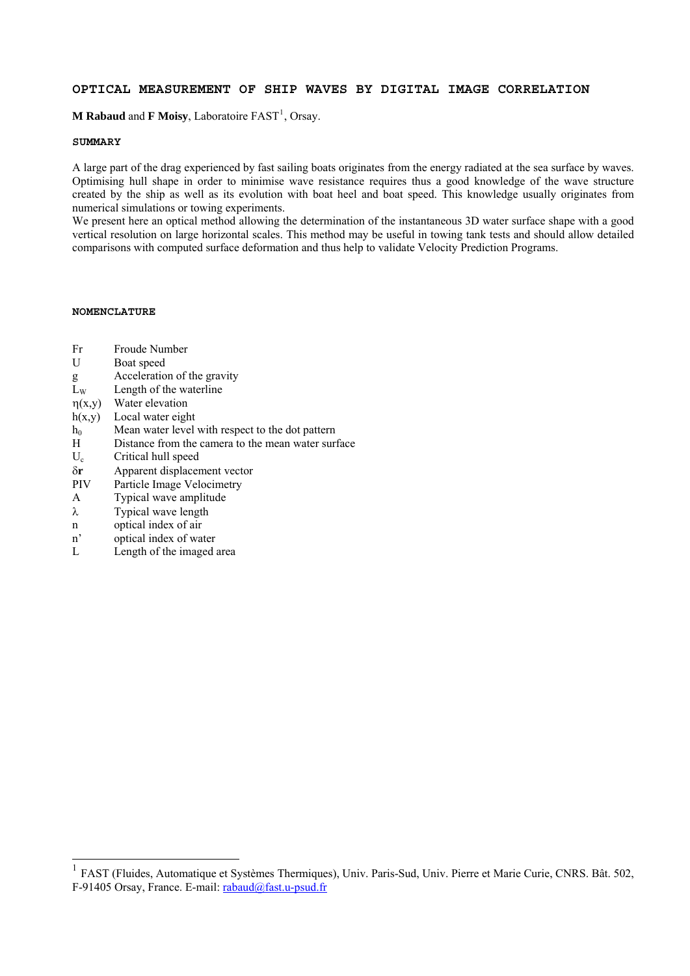# **OPTICAL MEASUREMENT OF SHIP WAVES BY DIGITAL IMAGE CORRELATION**

**M Rabaud** and **F Moisy**, Laboratoire FAST<sup>[1](#page-0-0)</sup>, Orsay.

## **SUMMARY**

A large part of the drag experienced by fast sailing boats originates from the energy radiated at the sea surface by waves. Optimising hull shape in order to minimise wave resistance requires thus a good knowledge of the wave structure created by the ship as well as its evolution with boat heel and boat speed. This knowledge usually originates from numerical simulations or towing experiments.

We present here an optical method allowing the determination of the instantaneous 3D water surface shape with a good vertical resolution on large horizontal scales. This method may be useful in towing tank tests and should allow detailed comparisons with computed surface deformation and thus help to validate Velocity Prediction Programs.

## **NOMENCLATURE**

- Fr Froude Number
- U Boat speed
- g Acceleration of the gravity
- $L<sub>w</sub>$  Length of the waterline
- $\eta(x,y)$  Water elevation
- h(x,y) Local water eight
- $h_0$  Mean water level with respect to the dot pattern
- H Distance from the camera to the mean water surface
- U<sub>c</sub> Critical hull speed
- δ**r** Apparent displacement vector
- PIV Particle Image Velocimetry
- A Typical wave amplitude
- λ Typical wave length
- n optical index of air

 $\overline{a}$ 

- n' optical index of water
- L Length of the imaged area

<span id="page-0-0"></span><sup>&</sup>lt;sup>1</sup> FAST (Fluides, Automatique et Systèmes Thermiques), Univ. Paris-Sud, Univ. Pierre et Marie Curie, CNRS. Bât. 502, F-91405 Orsay, France. E-mail: [rabaud@fast.u-psud.fr](mailto:rabaud@fast.u-psud.fr)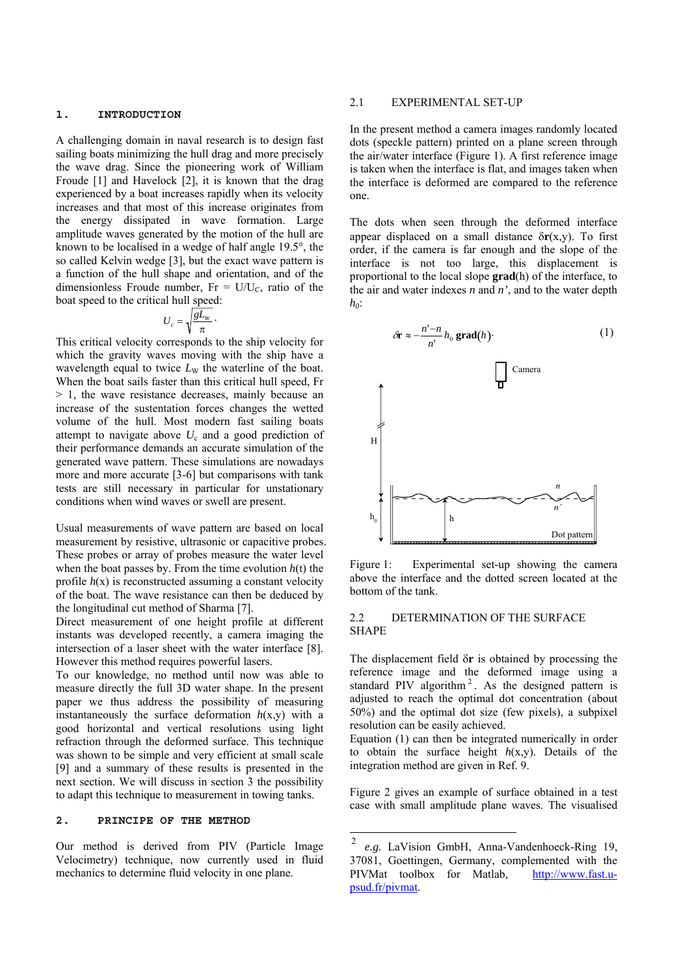#### **1. INTRODUCTION**

A challenging domain in naval research is to design fast sailing boats minimizing the hull drag and more precisely the wave drag. Since the pioneering work of William Froude [1] and Havelock [2], it is known that the drag experienced by a boat increases rapidly when its velocity increases and that most of this increase originates from the energy dissipated in wave formation. Large amplitude waves generated by the motion of the hull are known to be localised in a wedge of half angle 19.5°, the so called Kelvin wedge [3], but the exact wave pattern is a function of the hull shape and orientation, and of the dimensionless Froude number, Fr =  $U/U_c$ , ratio of the boat speed to the critical hull speed:

$$
U_c = \sqrt{\frac{gL_w}{\pi}}.
$$

This critical velocity corresponds to the ship velocity for which the gravity waves moving with the ship have a wavelength equal to twice  $L_W$  the waterline of the boat. When the boat sails faster than this critical hull speed, Fr > 1, the wave resistance decreases, mainly because an increase of the sustentation forces changes the wetted volume of the hull. Most modern fast sailing boats attempt to navigate above  $U_c$  and a good prediction of their performance demands an accurate simulation of the generated wave pattern. These simulations are nowadays more and more accurate [3-6] but comparisons with tank tests are still necessary in particular for unstationary conditions when wind waves or swell are present.

Usual measurements of wave pattern are based on local measurement by resistive, ultrasonic or capacitive probes. These probes or array of probes measure the water level when the boat passes by. From the time evolution  $h(t)$  the profile  $h(x)$  is reconstructed assuming a constant velocity of the boat. The wave resistance can then be deduced by the longitudinal cut method of Sharma [7].

Direct measurement of one height profile at different instants was developed recently, a camera imaging the intersection of a laser sheet with the water interface [8]. However this method requires powerful lasers.

To our knowledge, no method until now was able to measure directly the full 3D water shape. In the present paper we thus address the possibility of measuring instantaneously the surface deformation  $h(x,y)$  with a good horizontal and vertical resolutions using light refraction through the deformed surface. This technique was shown to be simple and very efficient at small scale [9] and a summary of these results is presented in the next section. We will discuss in section 3 the possibility to adapt this technique to measurement in towing tanks.

## **2. PRINCIPE OF THE METHOD**

<span id="page-1-0"></span>Our method is derived from PIV (Particle Image Velocimetry) technique, now currently used in fluid mechanics to determine fluid velocity in one plane.

#### 2.1 EXPERIMENTAL SET-UP

In the present method a camera images randomly located dots (speckle pattern) printed on a plane screen through the air/water interface (Figure 1). A first reference image is taken when the interface is flat, and images taken when the interface is deformed are compared to the reference one.

The dots when seen through the deformed interface appear displaced on a small distance  $\delta r(x,y)$ . To first order, if the camera is far enough and the slope of the interface is not too large, this displacement is proportional to the local slope **grad**(h) of the interface, to the air and water indexes *n* and *n'*, and to the water depth *h<sub>0</sub>*:



Figure 1: Experimental set-up showing the camera above the interface and the dotted screen located at the bottom of the tank.

### 2.2 DETERMINATION OF THE SURFACE SHAPE

The displacement field δ**r** is obtained by processing the reference image and the deformed image using a standard PIV algorithm<sup>[2](#page-1-0)</sup>. As the designed pattern is adjusted to reach the optimal dot concentration (about 50%) and the optimal dot size (few pixels), a subpixel resolution can be easily achieved.

Equation (1) can then be integrated numerically in order to obtain the surface height *h*(x,y). Details of the integration method are given in Ref. 9.

Figure 2 gives an example of surface obtained in a test case with small amplitude plane waves. The visualised

 $\frac{1}{2}$ *e.g.* LaVision GmbH, Anna-Vandenhoeck-Ring 19, 37081, Goettingen, Germany, complemented with the PIVMat toolbox for Matlab, [http://www.fast.u](http://www.fast.u-psud.fr/pivmat)[psud.fr/pivmat.](http://www.fast.u-psud.fr/pivmat)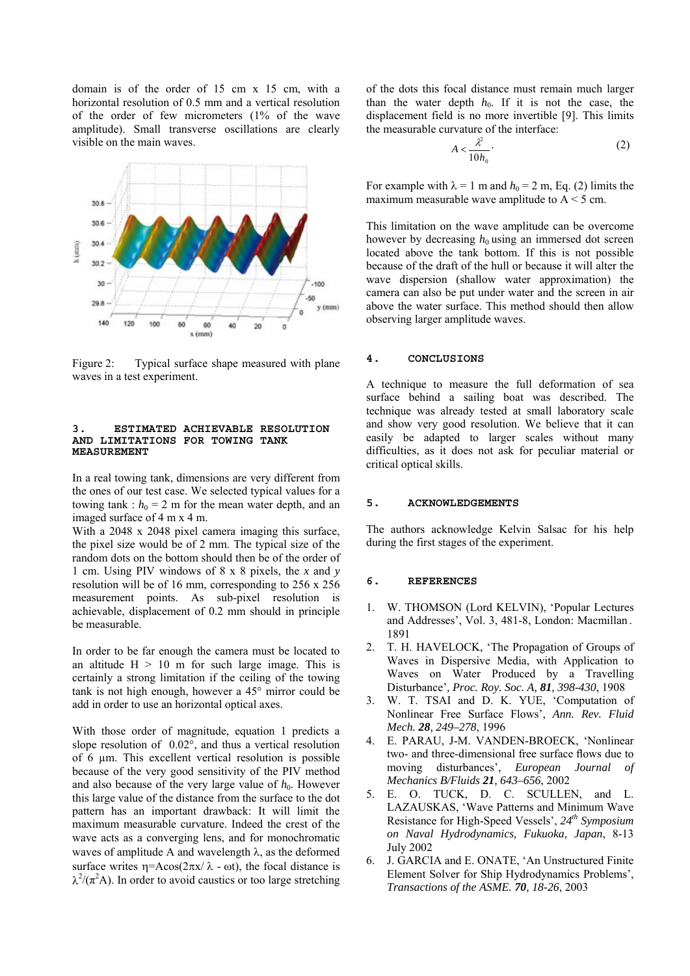domain is of the order of 15 cm x 15 cm, with a horizontal resolution of 0.5 mm and a vertical resolution of the order of few micrometers (1% of the wave amplitude). Small transverse oscillations are clearly visible on the main waves.



Figure 2: Typical surface shape measured with plane waves in a test experiment.

#### **3. ESTIMATED ACHIEVABLE RESOLUTION AND LIMITATIONS FOR TOWING TANK MEASUREMENT**

In a real towing tank, dimensions are very different from the ones of our test case. We selected typical values for a towing tank :  $h_0 = 2$  m for the mean water depth, and an imaged surface of 4 m x 4 m.

With a 2048 x 2048 pixel camera imaging this surface, the pixel size would be of 2 mm. The typical size of the random dots on the bottom should then be of the order of 1 cm. Using PIV windows of 8 x 8 pixels, the *x* and *y* resolution will be of 16 mm, corresponding to 256 x 256 measurement points. As sub-pixel resolution is achievable, displacement of 0.2 mm should in principle be measurable.

In order to be far enough the camera must be located to an altitude  $H > 10$  m for such large image. This is certainly a strong limitation if the ceiling of the towing tank is not high enough, however a 45° mirror could be add in order to use an horizontal optical axes.

With those order of magnitude, equation 1 predicts a slope resolution of 0.02°, and thus a vertical resolution of 6 µm. This excellent vertical resolution is possible because of the very good sensitivity of the PIV method and also because of the very large value of  $h_0$ . However this large value of the distance from the surface to the dot pattern has an important drawback: It will limit the maximum measurable curvature. Indeed the crest of the wave acts as a converging lens, and for monochromatic waves of amplitude A and wavelength  $\lambda$ , as the deformed surface writes  $\eta = Acos(2\pi x/\lambda - \omega t)$ , the focal distance is  $\lambda^2/(\pi^2 A)$ . In order to avoid caustics or too large stretching of the dots this focal distance must remain much larger than the water depth  $h_0$ . If it is not the case, the displacement field is no more invertible [9]. This limits the measurable curvature of the interface:

$$
A < \frac{\lambda^2}{10h_0}.
$$
 (2)

For example with  $\lambda = 1$  m and  $h_0 = 2$  m, Eq. (2) limits the maximum measurable wave amplitude to  $A < 5$  cm.

This limitation on the wave amplitude can be overcome however by decreasing  $h_0$  using an immersed dot screen located above the tank bottom. If this is not possible because of the draft of the hull or because it will alter the wave dispersion (shallow water approximation) the camera can also be put under water and the screen in air above the water surface. This method should then allow observing larger amplitude waves.

#### **4. CONCLUSIONS**

A technique to measure the full deformation of sea surface behind a sailing boat was described. The technique was already tested at small laboratory scale and show very good resolution. We believe that it can easily be adapted to larger scales without many difficulties, as it does not ask for peculiar material or critical optical skills.

### **5. ACKNOWLEDGEMENTS**

The authors acknowledge Kelvin Salsac for his help during the first stages of the experiment.

#### **6. REFERENCES**

- 1. W. THOMSON (Lord KELVIN), 'Popular Lectures and Addresses', Vol. 3, 481-8, London: Macmillan. 1891
- 2. T. H. HAVELOCK, 'The Propagation of Groups of Waves in Dispersive Media, with Application to Waves on Water Produced by a Travelling Disturbance'*, Proc. Roy. Soc. A, 81, 398-430*, 1908
- 3. W. T. TSAI and D. K. YUE, 'Computation of Nonlinear Free Surface Flows', *Ann. Rev. Fluid Mech. 28, 249–278*, 1996
- 4. E. PARAU, J-M. VANDEN-BROECK, 'Nonlinear two- and three-dimensional free surface flows due to moving disturbances', *European Journal Mechanics B/Fluids 21, 643–656*, 2002
- 5. E. O. TUCK, D. C. SCULLEN, and L. LAZAUSKAS, 'Wave Patterns and Minimum Wave Resistance for High-Speed Vessels',  $24<sup>th</sup> Symposium$ *on Naval Hydrodynamics, Fukuoka, Japan* , 8-13 July 2002
- 6. J. GARCIA and E. ONATE, 'An Unstructured Finite Element Solver for Ship Hydrodynamics Problems', *Transactions of the ASME. 70, 18-26*, 2003